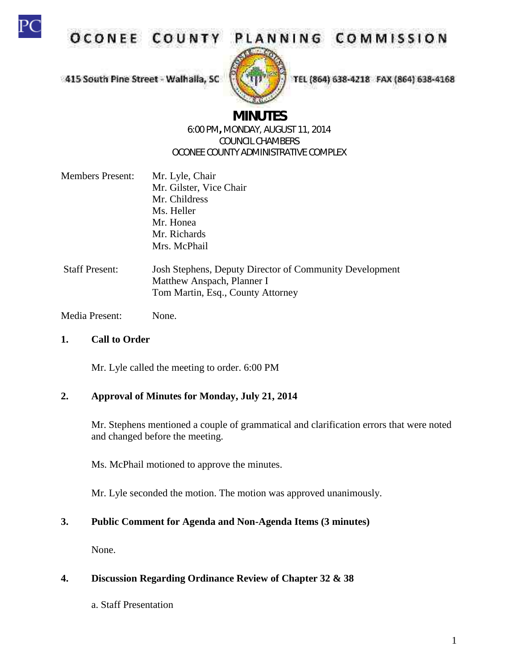

OCONEE COUNTY

PLANNING COMMISSION

415 South Pine Street - Walhaila, SC



TEL (864) 638-4218 FAX (864) 638-4168

# **MINUTES**

#### 6:00 PM**,** MONDAY, AUGUST 11, 2014 COUNCIL CHAMBERS OCONEE COUNTY ADMINISTRATIVE COMPLEX

| <b>Members Present:</b> | Mr. Lyle, Chair         |  |
|-------------------------|-------------------------|--|
|                         | Mr. Gilster, Vice Chair |  |
|                         | Mr. Childress           |  |
|                         | Ms. Heller              |  |
|                         | Mr. Honea               |  |
|                         | Mr. Richards            |  |
|                         | Mrs. McPhail            |  |
|                         |                         |  |
|                         |                         |  |

Staff Present: Josh Stephens, Deputy Director of Community Development Matthew Anspach, Planner I Tom Martin, Esq., County Attorney

Media Present: None.

#### **1. Call to Order**

Mr. Lyle called the meeting to order. 6:00 PM

# **2. Approval of Minutes for Monday, July 21, 2014**

Mr. Stephens mentioned a couple of grammatical and clarification errors that were noted and changed before the meeting.

Ms. McPhail motioned to approve the minutes.

Mr. Lyle seconded the motion. The motion was approved unanimously.

# **3. Public Comment for Agenda and Non-Agenda Items (3 minutes)**

None.

# **4. Discussion Regarding Ordinance Review of Chapter 32 & 38**

a. Staff Presentation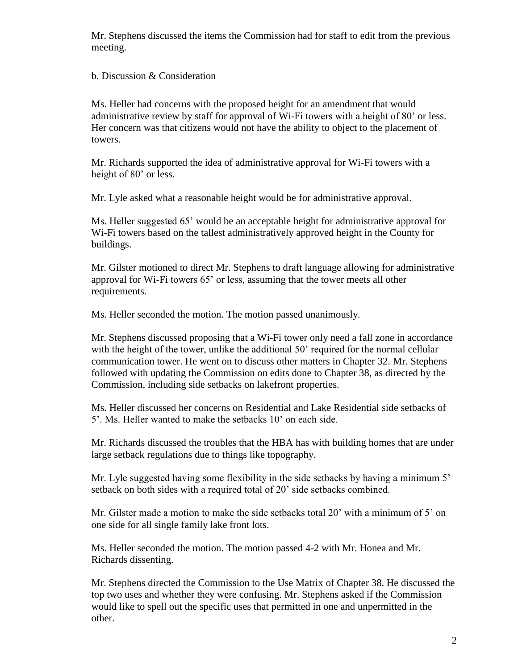Mr. Stephens discussed the items the Commission had for staff to edit from the previous meeting.

b. Discussion & Consideration

Ms. Heller had concerns with the proposed height for an amendment that would administrative review by staff for approval of Wi-Fi towers with a height of 80' or less. Her concern was that citizens would not have the ability to object to the placement of towers.

Mr. Richards supported the idea of administrative approval for Wi-Fi towers with a height of 80' or less.

Mr. Lyle asked what a reasonable height would be for administrative approval.

Ms. Heller suggested 65' would be an acceptable height for administrative approval for Wi-Fi towers based on the tallest administratively approved height in the County for buildings.

Mr. Gilster motioned to direct Mr. Stephens to draft language allowing for administrative approval for Wi-Fi towers 65' or less, assuming that the tower meets all other requirements.

Ms. Heller seconded the motion. The motion passed unanimously.

Mr. Stephens discussed proposing that a Wi-Fi tower only need a fall zone in accordance with the height of the tower, unlike the additional 50' required for the normal cellular communication tower. He went on to discuss other matters in Chapter 32. Mr. Stephens followed with updating the Commission on edits done to Chapter 38, as directed by the Commission, including side setbacks on lakefront properties.

Ms. Heller discussed her concerns on Residential and Lake Residential side setbacks of 5'. Ms. Heller wanted to make the setbacks 10' on each side.

Mr. Richards discussed the troubles that the HBA has with building homes that are under large setback regulations due to things like topography.

Mr. Lyle suggested having some flexibility in the side setbacks by having a minimum 5' setback on both sides with a required total of 20' side setbacks combined.

Mr. Gilster made a motion to make the side setbacks total 20' with a minimum of 5' on one side for all single family lake front lots.

Ms. Heller seconded the motion. The motion passed 4-2 with Mr. Honea and Mr. Richards dissenting.

Mr. Stephens directed the Commission to the Use Matrix of Chapter 38. He discussed the top two uses and whether they were confusing. Mr. Stephens asked if the Commission would like to spell out the specific uses that permitted in one and unpermitted in the other.